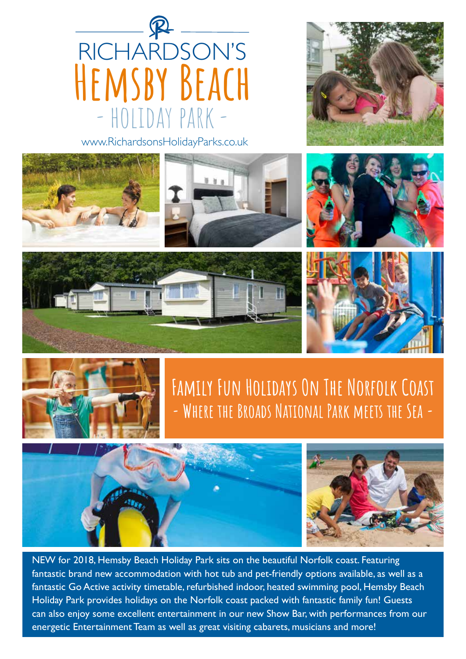

www.RichardsonsHolidayParks.co.uk





### **Family Fun Holidays On The Norfolk Coast - Where the Broads National Park meets the Sea -**



NEW for 2018, Hemsby Beach Holiday Park sits on the beautiful Norfolk coast. Featuring fantastic brand new accommodation with hot tub and pet-friendly options available, as well as a fantastic Go Active activity timetable, refurbished indoor, heated swimming pool, Hemsby Beach Holiday Park provides holidays on the Norfolk coast packed with fantastic family fun! Guests can also enjoy some excellent entertainment in our new Show Bar, with performances from our energetic Entertainment Team as well as great visiting cabarets, musicians and more!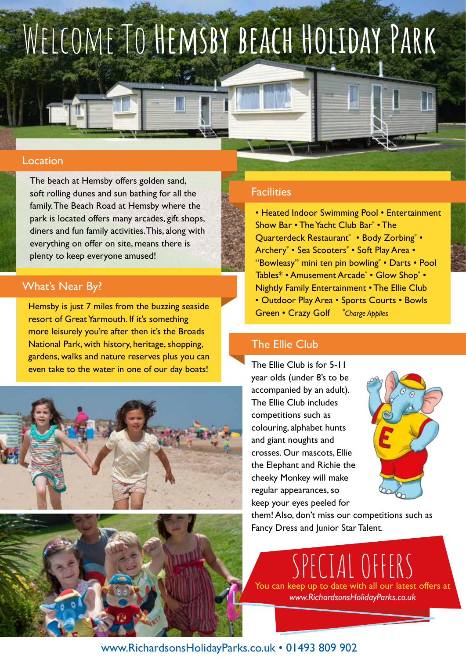# Welcome To **Hemsby beach Holiday Park**

#### Location

The beach at Hemsby offers golden sand, soft rolling dunes and sun bathing for all the family. The Beach Road at Hemsby where the park is located offers many arcades, gift shops, diners and fun family activities. This, along with everything on offer on site, means there is plenty to keep everyone amused!

#### What's Near By?

Hemsby is just 7 miles from the buzzing seaside resort of Great Yarmouth. If it's something more leisurely you're after then it's the Broads National Park, with history, heritage, shopping, gardens, walks and nature reserves plus you can even take to the water in one of our day boats!





#### **Facilities**

• Heated Indoor Swimming Pool • Entertainment Show Bar • The Yacht Club Bar\* • The Quarterdeck Restaurant\* • Body Zorbing\* • Archery\* • Sea Scooters\* • Soft Play Area • "Bowleasy" mini ten pin bowling\* • Darts • Pool Tables\* • Amusement Arcade\* • Glow Shop\* • Nightly Family Entertainment • The Ellie Club • Outdoor Play Area • Sports Courts • Bowls Green • Crazy Golf *Charge Applies*

### The Ellie Club

The Ellie Club is for 5-11 year olds (under 8's to be accompanied by an adult). The Ellie Club includes competitions such as colouring, alphabet hunts and giant noughts and crosses. Our mascots, Ellie the Elephant and Richie the cheeky Monkey will make regular appearances, so keep your eyes peeled for



them! Also, don't miss our competitions such as Fancy Dress and Junior Star Talent.

PECIAL OFFERS You can keep up to date with all our latest offers at *www.RichardsonsHolidayParks.co.uk*

www.RichardsonsHolidayParks.co.uk • 01493 809 902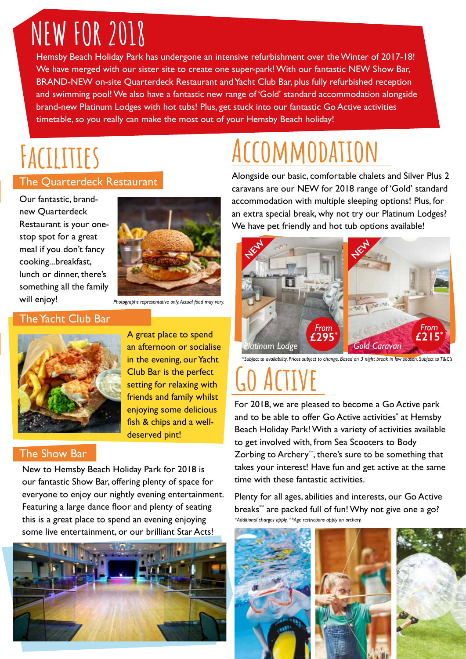## **NEW FOR 2018**

Hemsby Beach Holiday Park has undergone an intensive refurbishment over the Winter of 2017-18! We have merged with our sister site to create one super-park! With our fantastic NEW Show Bar, BRAND-NEW on-site Quarterdeck Restaurant and Yacht Club Bar, plus fully refurbished reception and swimming pool! We also have a fantastic new range of 'Gold' standard accommodation alongside brand-new Platinum Lodges with hot tubs! Plus, get stuck into our fantastic Go Active activities timetable, so you really can make the most out of your Hemsby Beach holiday!

## **Facilities**

#### The Quarterdeck Restaurant

#### Our fantastic, brandnew Quarterdeck Restaurant is your onestop spot for a great meal if you don't fancy cooking...breakfast, lunch or dinner, there's something all the family will enjoy!



*Photographs representative only. Actual food may vary.*

#### The Yacht Club Bar



A great place to spend an afternoon or socialise in the evening, our Yacht Club Bar is the perfect setting for relaxing with friends and family whilst enjoying some delicious fish & chips and a welldeserved pint!

#### The Show Bar

New to Hemsby Beach Holiday Park for 2018 is our fantastic Show Bar, offering plenty of space for everyone to enjoy our nightly evening entertainment. Featuring a large dance floor and plenty of seating this is a great place to spend an evening enjoying some live entertainment, or our brilliant Star Acts!



## **Accommodation**

Alongside our basic, comfortable chalets and Silver Plus 2 caravans are our NEW for 2018 range of 'Gold' standard accommodation with multiple sleeping options! Plus, for an extra special break, why not try our Platinum Lodges? We have pet friendly and hot tub options available!



*\*Subject to availability. Prices subject to change. Based on 3 night break in low season. Subject to T&C's*

## **Go Active**

For 2018, we are pleased to become a Go Active park and to be able to offer Go Active activities<sup>\*</sup> at Hemsby Beach Holiday Park! With a variety of activities available to get involved with, from Sea Scooters to Body Zorbing to Archery\*\*, there's sure to be something that takes your interest! Have fun and get active at the same time with these fantastic activities.

*\*Additional charges apply. \*\*Age restrictions apply on archery.* Plenty for all ages, abilities and interests, our Go Active breaks<sup>\*\*</sup> are packed full of fun! Why not give one a go?